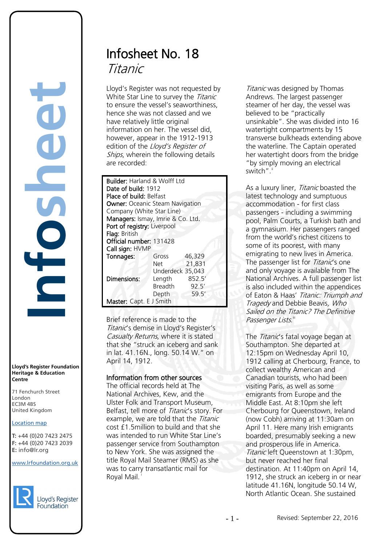## **Infosheet** rd's Register Foundat<br>
itage & Education<br>
tre<br>
Eenchurch Street<br>
don<br>
M 4BS<br>
ted Kingdom<br>
ation map<br>
44 (0)20 7423 2475<br>
44 (0)20 7423 2039<br>
mfo@lr.org Ē

**Lloyd's Register Foundation Heritage & Education Centre**

71 Fenchurch Street 7 Thematen Server<br>London EC3M 4BS United Kingdom

### Location map

T: +44 (0)20 7423 2475 **F:** +44 (0)20 7423 2039 Fax: +44 (0)20 7423 2039 **E:** info@lr.org  $E \rightarrow 0/20$   $1 + 23$  2033

www.lrfoundation.org.uk



## Infosheet No. 18 Titanic

Lloyd's Register was not requested by White Star Line to survey the Titanic to ensure the vessel's seaworthiness, hence she was not classed and we have relatively little original information on her. The vessel did, however, appear in the 1912-1913 edition of the Lloyd's Register of Ships, wherein the following details are recorded:

| <b>Builder:</b> Harland & Wolff Ltd    |                  |        |
|----------------------------------------|------------------|--------|
| Date of build: 1912                    |                  |        |
| <b>Place of build: Belfast</b>         |                  |        |
| <b>Owner: Oceanic Steam Navigation</b> |                  |        |
| Company (White Star Line)              |                  |        |
| Managers: Ismay, Imrie & Co. Ltd.      |                  |        |
| Port of registry: Liverpool            |                  |        |
| Flag: British                          |                  |        |
| Official number: 131428                |                  |        |
| Call sign: HVMP                        |                  |        |
| Tonnages:                              | Gross            | 46,329 |
|                                        | Net              | 21,831 |
|                                        | Underdeck 35,043 |        |
| Dimensions:                            | Length           | 852.5' |
|                                        | <b>Breadth</b>   | 92.5'  |
|                                        | Depth            | 59.5'  |
| Master: Capt. E J Smith                |                  |        |

Brief reference is made to the Titanic's demise in Lloyd's Register's Casualty Returns, where it is stated that she "struck an iceberg and sank in lat. 41.16N., long. 50.14 W." on April 14, 1912.

### Information from other sources

The official records held at The National Archives, Kew, and the Ulster Folk and Transport Museum, Belfast, tell more of Titanic's story. For example, we are told that the Titanic cost £1.5million to build and that she was intended to run White Star Line's passenger service from Southampton to New York. She was assigned the title Royal Mail Steamer (RMS) as she was to carry transatlantic mail for Royal Ma[i](#page-3-0)l.

Titanic was designed by Thomas Andrews. The largest passenger steamer of her day, the vessel was believed to be "practically unsinkable". She was divided into 16 watertight compartments by 15 transverse bulkheads extending above the waterline. The Captain operated her watertight doors from the bridge "by simply moving an electrical switch".

As a luxury liner, Titanic boasted the latest technology and sumptuous accommodation - for first class passengers - including a swimming pool, Palm Courts, a Turkish bath and a gymnasium. Her passengers ranged from the world's richest citizens to some of its poorest, with many emigrating to new lives in America. The passenger list for *Titanic's* one and only voyage is available from The National Archives. A full passenger list is also included within the appendices of Eaton & Haas' Titanic: Triumph and Tragedy and Debbie Beavis, Who Sailed on the Titanic? The Definitive Passenger Lists.

The Titanic's fatal voyage began at Southampton. She departed at 12:15pm on Wednesday April 10, 1912 calling at Cherbourg, France, to collect wealthy American and Canadian tourists, who had been visiting Paris, as well as some emigrants from Europe and the Middle East. At 8:10pm she left Cherbourg for Queenstown, Ireland (now Cobh) arriving at 11:30am on April 11. Here many Irish emigrants boarded, presumably seeking a new and prosperous life in America. Titanic left Queenstown at 1:30pm. but never reached her final destination. At 11:40pm on April 14, 1912, she struck an iceberg in or near latitude 41.16N, longitude 50.14 W, North Atlantic Ocean. She sustained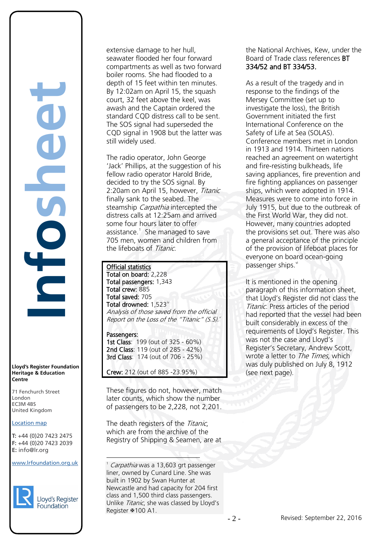**Lloyd's Register Foundation Heritage & Education Centre** rd's Register Foundat<br>
itage & Education<br>
tre<br>
Eenchurch Street<br>
don<br>
M 4BS<br>
ted Kingdom<br>
ation map<br>
44 (0)20 7423 2475<br>
44 (0)20 7423 2039<br>
mfo@lr.org

E

**Infosheet**

71 Fenchurch Street 7 Thematen Server<br>London EC3M 4BS United Kingdom

### Location map

T: +44 (0)20 7423 2475 **F:** +44 (0)20 7423 2039 Fax: +44 (0)20 7423 2039 **E:** info@lr.org  $E \rightarrow 0/20$   $1 + 23$  2033

### <span id="page-1-0"></span>www.lrfoundation.org.uk



extensive damage to her hull, seawater flooded her four forward compartments as well as two forward boiler rooms. She had flooded to a depth of 15 feet within ten minutes. By 12:02am on April 15, the squash court, 32 feet above the keel, was awash and the Captain ordered the standard CQD distress call to be sent. The SOS signal had superseded the CQD signal in 1908 but the latter was still widely used.

The radio operator, John George 'Jack' Phillips, at the suggestion of his fellow radio operator Harold Bride, decided to try the SOS signal. By 2:20am on April 15, however, Titanic finally sank to the seabed. The steamship *Carpathia* intercepted the distress calls at 12:25am and arrived some four hours later to offer assistance.<sup>1</sup> She managed to save 705 men, women and children from the lifeboats of Titanic.

### Official statistics

 $\overline{a}$ 

Total on board: 2,228 Total passengers: 1,343 Total crew: 885 Total saved: 705 Total drowned:  $1,523^{\mathrm{iv}}$  $1,523^{\mathrm{iv}}$  $1,523^{\mathrm{iv}}$ Analysis of those saved from the official Report on the Loss of the "Titanic"  $(S.S)^{v}$ 

Passengers: 1st Class: 199 (out of 325 - 60%) 2nd Class: 119 (out of 285 - 42%) 3rd Class: 174 (out of 706 - 25%)

Crew: 212 (out of 885 -23.95%)

These figures do not, however, match later counts, which show the number of passengers to be 2,228, not 2,201.

The death registers of the Titanic, which are from the archive of the Registry of Shipping & Seamen, are at

1 Carpathia was a 13,603 grt passenger liner, owned by Cunard Line. She was built in 1902 by Swan Hunter at Newcastle and had capacity for 204 first class and 1,500 third class passengers. Unlike Titanic, she was classed by Lloyd's Register  $$100 A1$ .

the National Archives, Kew, under the Board of Trade class references BT 334/52 and BT 334/53.

As a result of the tragedy and in response to the findings of the Mersey Committee (set up to investigate the loss), the British Government initiated the first International Conference on the Safety of Life at Sea (SOLAS). Conference members met in London in 1913 and 1914. Thirteen nations reached an agreement on watertight and fire-resisting bulkheads, life saving appliances, fire prevention and fire fighting appliances on passenger ships, which were adopted in 1914. Measures were to come into force in July 1915, but due to the outbreak of the First World War, they did not. However, many countries adopted the provisions set out. There was also a general acceptance of the principle of the provision of lifeboat places for everyone on board ocean-going passenger ships.<sup>vi</sup>

It is mentioned in the opening paragraph of this information sheet, that Lloyd's Register did not class the Titanic. Press articles of the period had reported that the vessel had been built considerably in excess of the requirements of Lloyd's Register. This was not the case and Lloyd's Register's Secretary, Andrew Scott, wrote a letter to *The Times*, which was duly published on July 8, 1912 (see next page).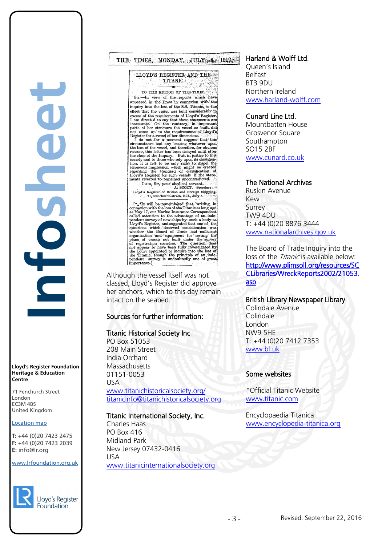**Infosheet** rd's Register Foundat<br>
itage & Education<br>
tre<br>
Eenchurch Street<br>
don<br>
M 4BS<br>
ted Kingdom<br>
ation map<br>
44 (0)20 7423 2475<br>
44 (0)20 7423 2039<br>
mfo@lr.org 

**Lloyd's Register Foundation Heritage & Education Centre**

71 Fenchurch Street 7 Thematen Server<br>London EC3M 4BS United Kingdom

### Location map

T: +44 (0)20 7423 2475 **F:** +44 (0)20 7423 2039 Fax: +44 (0)20 7423 2039 **E:** info@lr.org  $E \rightarrow 0/20$   $1 + 23$  2033

### www.lrfoundation.org.uk



### THE TIMES, MONDAY, JULY 8, 1912,

LLOYD'S REGISTER AND THE TITANIC

TO THE EDITOR OF THE TIMES. Sir,-In view of the reports which have appeared in the Press in connexion with the inquiry into the loss of the S.S. Titanic, to the<br>effect that the vessel was built considerably in

induced that the vessel was built considerably in<br>effect that the vessel was built considerably in<br>excess of the requirements of Lloyd's Register.<br>I and direct to say that these statements are<br>inaccurate. On "the contrary,

I am, Sir, your obedient servant, arv. Lloyd's Register of British and Foreign Shipping,<br>71, Fenchurch-street, E.C., July 5.

The remainder of the CHSC states is a set of the version with the loss of the Titanic slope and as May 17, our Marine Insurance Correspondent called attaction to the advantage of an independent survey of new ships by such

classed, Lloyd's Register did approve her anchors, which to this day remain intact on the seabed.

### Sources for further information:

### Titanic Historical Society Inc.

PO Box 51053 208 Main Street India Orchard **Massachusetts** 01151-0053 USA

[www.titanichistoricalsociety.org/](http://www.titanichistoricalsociety.org/) [titanicinfo@titanichistoricalsociety.org](mailto:titanicinfo@titanichistoricalsociety.org)

### Titanic International Society, Inc.

Charles Haas PO Box 416 Midland Park New Jersey 07432-0416 USA [www.titanicinternationalsociety.org](http://www.titanicinternationalsociety.org/)

### Harland & Wolff Ltd.

Queen's Island Belfast BT3 9DU Northern Ireland [www.harland-wolff.com](http://www.harland-wolff.com/)

### Cunard Line Ltd.

Mountbatten House Grosvenor Square Southampton SO15 2BF www.cunard.co.uk

### The National Archives

Ruskin Avenue Kew Surrey TW9 4DU T: +44 (0)20 8876 3444 [www.nationalarchives.gov.uk](http://www.nationalarchives.gov.uk/)

The Board of Trade Inquiry into the loss of the *Titanic* is available below: [http://www.plimsoll.org/resources/SC](http://www.plimsoll.org/resources/SCCLibraries/WreckReports2002/21053.asp) [CLibraries/WreckReports2002/21053.](http://www.plimsoll.org/resources/SCCLibraries/WreckReports2002/21053.asp) [asp](http://www.plimsoll.org/resources/SCCLibraries/WreckReports2002/21053.asp) 

### British Library Newspaper Library

Colindale Avenue Colindale London NW9 5HE T: +44 (0)20 7412 7353 [www.bl.uk](http://www.bl.uk/)

### Some websites

"Official Titanic Website" [www.titanic.com](http://www.titanic.com/) 

Encyclopaedia Titanica [www.encyclopedia-titanica.org](http://www.encyclopedia-titanica.org/)